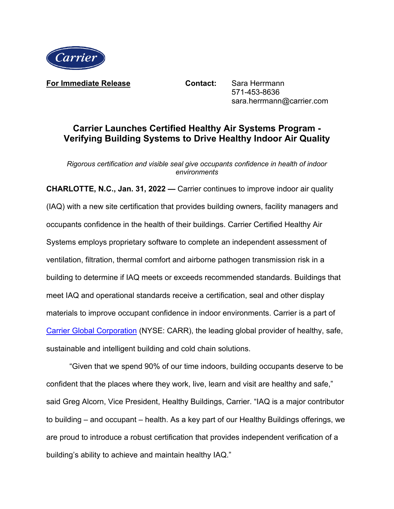

**For Immediate Release Contact:** Sara Herrmann

571-453-8636 sara.herrmann@carrier.com

## **Carrier Launches Certified Healthy Air Systems Program - Verifying Building Systems to Drive Healthy Indoor Air Quality**

*Rigorous certification and visible seal give occupants confidence in health of indoor environments*

**CHARLOTTE, N.C., Jan. 31, 2022 —** Carrier continues to improve indoor air quality (IAQ) with a new site certification that provides building owners, facility managers and occupants confidence in the health of their buildings. Carrier Certified Healthy Air Systems employs proprietary software to complete an independent assessment of ventilation, filtration, thermal comfort and airborne pathogen transmission risk in a building to determine if IAQ meets or exceeds recommended standards. Buildings that meet IAQ and operational standards receive a certification, seal and other display materials to improve occupant confidence in indoor environments. Carrier is a part of [Carrier Global Corporation](https://www.corporate.carrier.com/) (NYSE: CARR), the leading global provider of healthy, safe, sustainable and intelligent building and cold chain solutions.

"Given that we spend 90% of our time indoors, building occupants deserve to be confident that the places where they work, live, learn and visit are healthy and safe," said Greg Alcorn, Vice President, Healthy Buildings, Carrier. "IAQ is a major contributor to building – and occupant – health. As a key part of our Healthy Buildings offerings, we are proud to introduce a robust certification that provides independent verification of a building's ability to achieve and maintain healthy IAQ."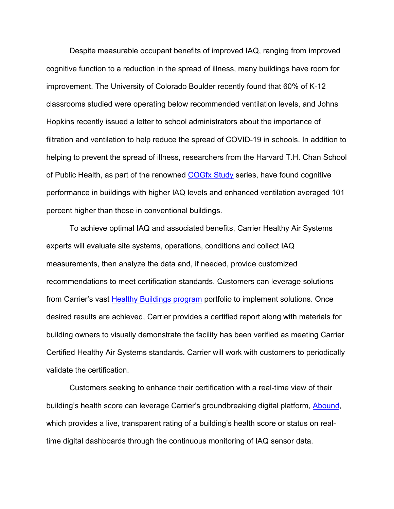Despite measurable occupant benefits of improved IAQ, ranging from improved cognitive function to a reduction in the spread of illness, many buildings have room for improvement. The University of Colorado Boulder recently found that 60% of K-12 classrooms studied were operating below recommended ventilation levels, and Johns Hopkins recently issued a letter to school administrators about the importance of filtration and ventilation to help reduce the spread of COVID-19 in schools. In addition to helping to prevent the spread of illness, researchers from the Harvard T.H. Chan School of Public Health, as part of the renowned [COGfx Study](https://thecogfxstudy.com/) series, have found cognitive performance in buildings with higher IAQ levels and enhanced ventilation averaged 101 percent higher than those in conventional buildings.

To achieve optimal IAQ and associated benefits, Carrier Healthy Air Systems experts will evaluate site systems, operations, conditions and collect IAQ measurements, then analyze the data and, if needed, provide customized recommendations to meet certification standards. Customers can leverage solutions from Carrier's vast [Healthy Buildings program](https://www.corporate.carrier.com/healthybuildings/) portfolio to implement solutions. Once desired results are achieved, Carrier provides a certified report along with materials for building owners to visually demonstrate the facility has been verified as meeting Carrier Certified Healthy Air Systems standards. Carrier will work with customers to periodically validate the certification.

Customers seeking to enhance their certification with a real-time view of their building's health score can leverage Carrier's groundbreaking digital platform, [Abound,](https://abound.carrier.com/) which provides a live, transparent rating of a building's health score or status on realtime digital dashboards through the continuous monitoring of IAQ sensor data.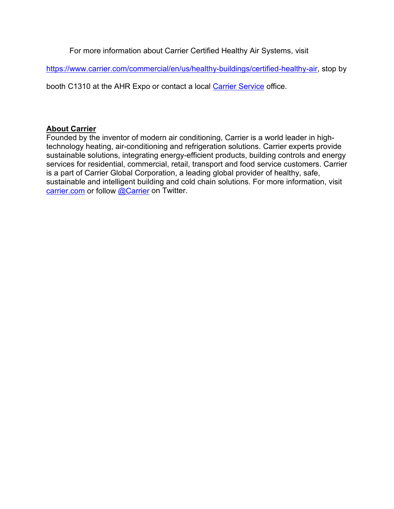For more information about Carrier Certified Healthy Air Systems, visit

[https://www.carrier.com/commercial/en/us/healthy-buildings/certified-healthy-air,](https://www.carrier.com/commercial/en/us/healthy-buildings/certified-healthy-air) stop by

booth C1310 at the AHR Expo or contact a local [Carrier Service](https://www.carrier.com/commercial/en/us/find-an-expert/) office.

## **About Carrier**

Founded by the inventor of modern air conditioning, Carrier is a world leader in hightechnology heating, air-conditioning and refrigeration solutions. Carrier experts provide sustainable solutions, integrating energy-efficient products, building controls and energy services for residential, commercial, retail, transport and food service customers. Carrier is a part of Carrier Global Corporation, a leading global provider of healthy, safe, sustainable and intelligent building and cold chain solutions. For more information, visit [carrier.com](http://www.carrier.com/) or follow [@Carrier](http://www.twitter.com/carrier) on Twitter.